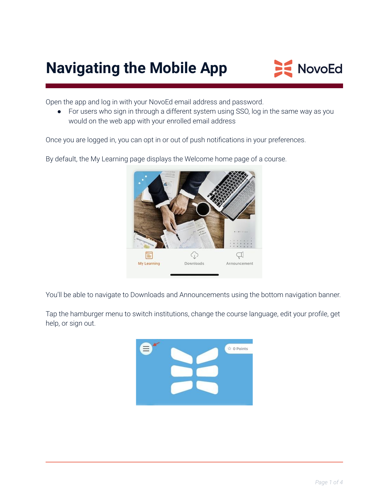# **Navigating the Mobile App**



Open the app and log in with your NovoEd email address and password.

• For users who sign in through a different system using SSO, log in the same way as you would on the web app with your enrolled email address

Once you are logged in, you can opt in or out of push notifications in your preferences.



By default, the My Learning page displays the Welcome home page of a course.

You'll be able to navigate to Downloads and Announcements using the bottom navigation banner.

Tap the hamburger menu to switch institutions, change the course language, edit your profile, get help, or sign out.

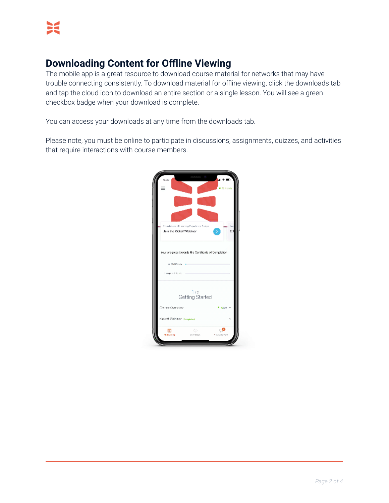## **Downloading Content for Offline Viewing**

The mobile app is a great resource to download course material for networks that may have trouble connecting consistently. To download material for offline viewing, click the downloads tab and tap the cloud icon to download an entire section or a single lesson. You will see a green checkbox badge when your download is complete.

You can access your downloads at any time from the downloads tab.

Please note, you must be online to participate in discussions, assignments, quizzes, and activities that require interactions with course members.

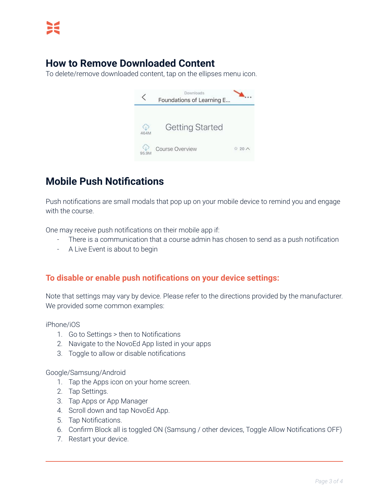#### **How to Remove Downloaded Content**

To delete/remove downloaded content, tap on the ellipses menu icon.



## **Mobile Push Notifications**

Push notifications are small modals that pop up on your mobile device to remind you and engage with the course.

One may receive push notifications on their mobile app if:

- There is a communication that a course admin has chosen to send as a push notification
- A Live Event is about to begin

#### **To disable or enable push notifications on your device settings:**

Note that settings may vary by device. Please refer to the directions provided by the manufacturer. We provided some common examples:

iPhone/iOS

- 1. Go to Settings > then to Notifications
- 2. Navigate to the NovoEd App listed in your apps
- 3. Toggle to allow or disable notifications

Google/Samsung/Android

- 1. Tap the Apps icon on your home screen.
- 2. Tap Settings.
- 3. Tap Apps or App Manager
- 4. Scroll down and tap NovoEd App.
- 5. Tap Notifications.
- 6. Confirm Block all is toggled ON (Samsung / other devices, Toggle Allow Notifications OFF)
- 7. Restart your device.